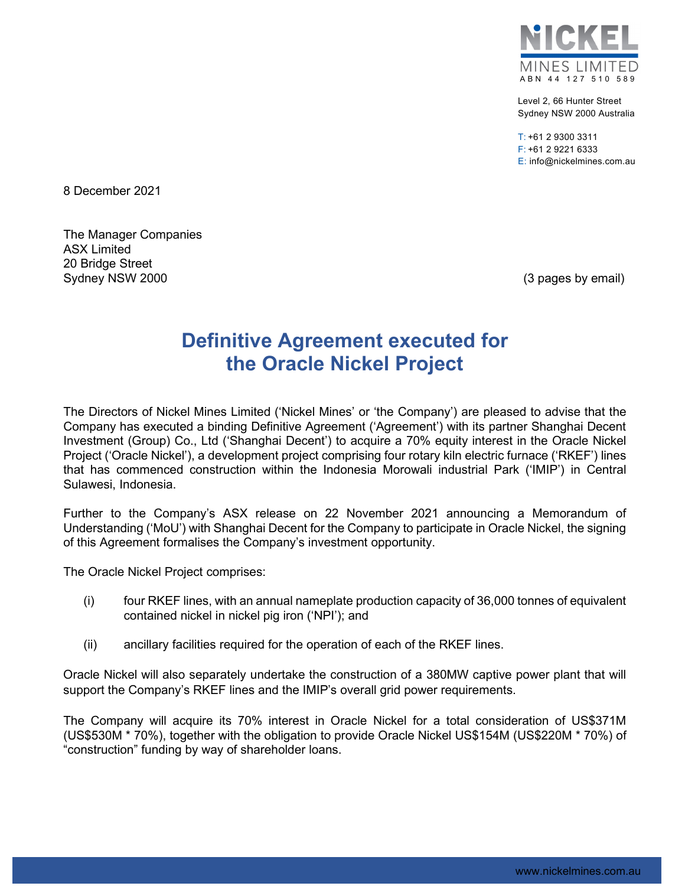

Level 2, 66 Hunter Street Sydney NSW 2000 Australia

 $T: +61$  2 9300 3311 F: +61 2 9221 6333 E: info@nickelmines.com.au

8 December 2021

The Manager Companies ASX Limited 20 Bridge Street Sydney NSW 2000 **(3)** pages by email) Sydney NSW 2000

## **Definitive Agreement executed for the Oracle Nickel Project**

The Directors of Nickel Mines Limited ('Nickel Mines' or 'the Company') are pleased to advise that the Company has executed a binding Definitive Agreement ('Agreement') with its partner Shanghai Decent Investment (Group) Co., Ltd ('Shanghai Decent') to acquire a 70% equity interest in the Oracle Nickel Project ('Oracle Nickel'), a development project comprising four rotary kiln electric furnace ('RKEF') lines that has commenced construction within the Indonesia Morowali industrial Park ('IMIP') in Central Sulawesi, Indonesia.

Further to the Company's ASX release on 22 November 2021 announcing a Memorandum of Understanding ('MoU') with Shanghai Decent for the Company to participate in Oracle Nickel, the signing of this Agreement formalises the Company's investment opportunity.

The Oracle Nickel Project comprises:

- (i) four RKEF lines, with an annual nameplate production capacity of 36,000 tonnes of equivalent contained nickel in nickel pig iron ('NPI'); and
- (ii) ancillary facilities required for the operation of each of the RKEF lines.

Oracle Nickel will also separately undertake the construction of a 380MW captive power plant that will support the Company's RKEF lines and the IMIP's overall grid power requirements.

The Company will acquire its 70% interest in Oracle Nickel for a total consideration of US\$371M (US\$530M \* 70%), together with the obligation to provide Oracle Nickel US\$154M (US\$220M \* 70%) of "construction" funding by way of shareholder loans.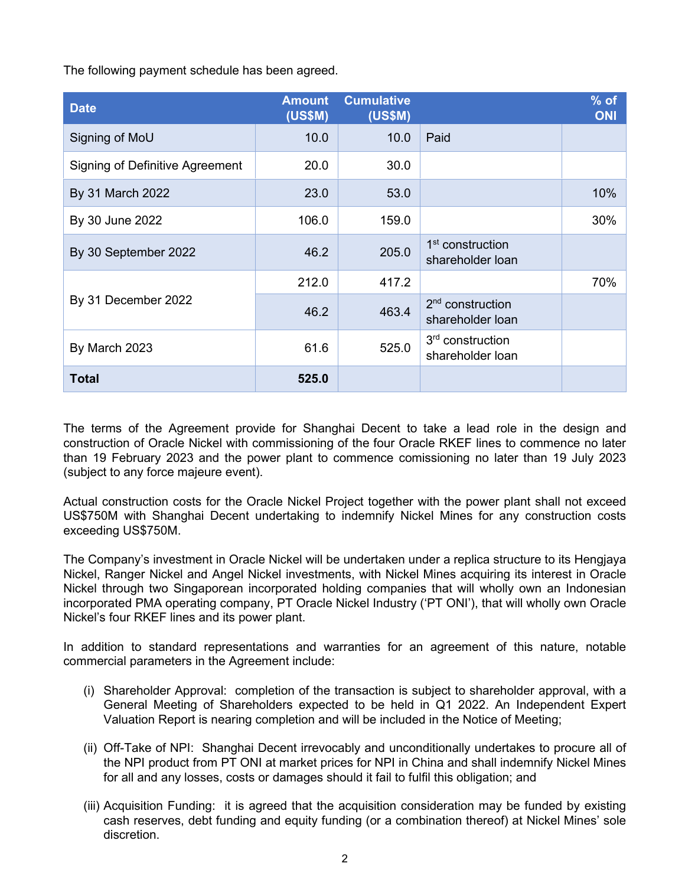The following payment schedule has been agreed.

| <b>Date</b>                            | <b>Amount</b><br><b>(US\$M)</b> | <b>Cumulative</b><br><b>(US\$M)</b> |                                                  | $%$ of<br><b>ONI</b> |
|----------------------------------------|---------------------------------|-------------------------------------|--------------------------------------------------|----------------------|
| Signing of MoU                         | 10.0                            | 10.0                                | Paid                                             |                      |
| <b>Signing of Definitive Agreement</b> | 20.0                            | 30.0                                |                                                  |                      |
| By 31 March 2022                       | 23.0                            | 53.0                                |                                                  | 10%                  |
| By 30 June 2022                        | 106.0                           | 159.0                               |                                                  | 30%                  |
| By 30 September 2022                   | 46.2                            | 205.0                               | 1 <sup>st</sup> construction<br>shareholder loan |                      |
| By 31 December 2022                    | 212.0                           | 417.2                               |                                                  | 70%                  |
|                                        | 46.2                            | 463.4                               | $2nd$ construction<br>shareholder loan           |                      |
| By March 2023                          | 61.6                            | 525.0                               | 3 <sup>rd</sup> construction<br>shareholder loan |                      |
| <b>Total</b>                           | 525.0                           |                                     |                                                  |                      |

The terms of the Agreement provide for Shanghai Decent to take a lead role in the design and construction of Oracle Nickel with commissioning of the four Oracle RKEF lines to commence no later than 19 February 2023 and the power plant to commence comissioning no later than 19 July 2023 (subject to any force majeure event).

Actual construction costs for the Oracle Nickel Project together with the power plant shall not exceed US\$750M with Shanghai Decent undertaking to indemnify Nickel Mines for any construction costs exceeding US\$750M.

The Company's investment in Oracle Nickel will be undertaken under a replica structure to its Hengjaya Nickel, Ranger Nickel and Angel Nickel investments, with Nickel Mines acquiring its interest in Oracle Nickel through two Singaporean incorporated holding companies that will wholly own an Indonesian incorporated PMA operating company, PT Oracle Nickel Industry ('PT ONI'), that will wholly own Oracle Nickel's four RKEF lines and its power plant.

In addition to standard representations and warranties for an agreement of this nature, notable commercial parameters in the Agreement include:

- (i) Shareholder Approval: completion of the transaction is subject to shareholder approval, with a General Meeting of Shareholders expected to be held in Q1 2022. An Independent Expert Valuation Report is nearing completion and will be included in the Notice of Meeting;
- (ii) Off-Take of NPI: Shanghai Decent irrevocably and unconditionally undertakes to procure all of the NPI product from PT ONI at market prices for NPI in China and shall indemnify Nickel Mines for all and any losses, costs or damages should it fail to fulfil this obligation; and
- (iii) Acquisition Funding: it is agreed that the acquisition consideration may be funded by existing cash reserves, debt funding and equity funding (or a combination thereof) at Nickel Mines' sole discretion.